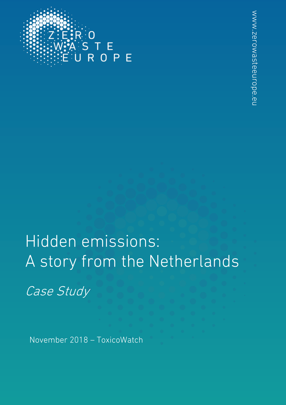

# Hidden emissions: A story from the Netherlands

Case Study

November 2018 – ToxicoWatch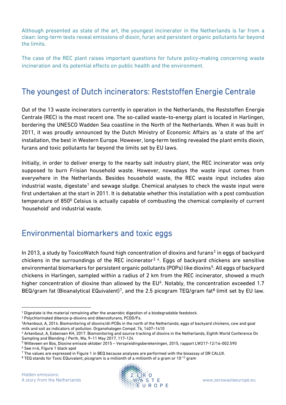Although presented as state of the art, the youngest incinerator in the Netherlands is far from a clean: long-term tests reveal emissions of dioxin, furan and persistent organic pollutants far beyond the limits.

The case of the REC plant raises important questions for future policy-making concerning waste incineration and its potential effects on public health and the environment.

#### The youngest of Dutch incinerators: Reststoffen Energie Centrale

Out of the 13 waste incinerators currently in operation in the Netherlands, the Reststoffen Energie Centrale (REC) is the most recent one. The so-called waste–to-energy plant is located in Harlingen, bordering the UNESCO Wadden Sea coastline in the North of the Netherlands. When it was built in 2011, it was proudly announced by the Dutch Ministry of Economic Affairs as 'a state of the art' installation, the best in Western Europe. However, long-term testing revealed the plant emits dioxin, furans and toxic pollutants far beyond the limits set by EU laws.

Initially, in order to deliver energy to the nearby salt industry plant, the REC incinerator was only supposed to burn Frisian household waste. However, nowadays the waste input comes from everywhere in the Netherlands. Besides household waste, the REC waste input includes also industrial waste, digestate<sup>[1](#page-1-0)</sup> and sewage sludge. Chemical analyses to check the waste input were first undertaken at the start in 2011. It is debatable whether this installation with a post combustion temperature of 850<sup>0</sup> Celsius is actually capable of combusting the chemical complexity of current 'household' and industrial waste.

#### Environmental biomarkers and toxic eggs

In [2](#page-1-1)013, a study by ToxicoWatch found high concentration of dioxins and furans<sup>2</sup> in eggs of backyard chickens in the surroundings of the REC incinerator<sup>[3](#page-1-2)[4](#page-1-3)</sup>. Eggs of backyard chickens are sensitive environmental biomarkers for persistent organic pollutants (POPs) like dioxins<sup>5</sup>. All eggs of backyard chickens in Harlingen, sampled within a radius of 2 km from the REC incinerator, showed a much higher concentration of dioxine than allowed by the  $EU^{\delta}$ . Notably, the concentration exceeded 1.7 BEQ/gram fat (Bioanalytical EQuivalent)<sup>7</sup>, and the 2.5 picogram TEQ/gram fat<sup>[8](#page-1-7)</sup> limit set by EU law.

<span id="page-1-1"></span><sup>2</sup> Polychlorinated dibenzo-p-dioxins and dibenzofurans, PCDD/Fs.



<span id="page-1-0"></span> <sup>1</sup> Digestate is the material remaining after the anaerobic digestion of a biodegradable feedstock.

<span id="page-1-2"></span><sup>3</sup>Arkenbout, A, 2014. Biomonitoring of dioxins/dl-PCBs in the north of the Netherlands; eggs of backyard chickens, cow and goat milk and soil as indicators of pollution. Organohalogen Compd. 76, 1407–1410

<span id="page-1-3"></span><sup>4</sup> Arkenbout, A, Esbensen KH, 2017. Biomonitoring and source tracking of dioxins in the Netherlands, Eighth World Conference On Sampling and Blending / Perth, Wa, 9–11 May 2017, 117-124

<span id="page-1-4"></span><sup>5</sup> Witteveen en Bos, Dioxine emissie oktober 2015 – Verspreidingsberekeningen, 2015, rapport LW217-12/16-002.590 <sup>6</sup> See n=6, Figure 1 black spot

<span id="page-1-6"></span><span id="page-1-5"></span><sup>7</sup> The values are expressed in Figure 1 in BEQ because analyses are performed with the bioassay of DR CALUX.

<span id="page-1-7"></span> $8$  TEQ stands for Toxic EQuivalent, picogram is a millionth of a millionth of a gram or 10<sup>-12</sup> gram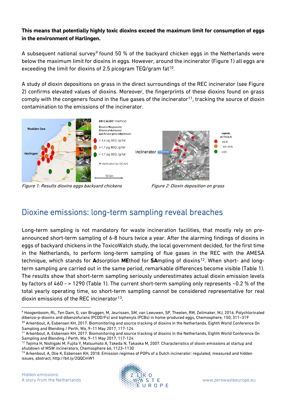#### **This means that potentially highly toxic dioxins exceed the maximum limit for consumption of eggs in the environment of Harlingen.**

A subsequent national survey<sup>[9](#page-2-0)</sup> found 50 % of the backyard chicken eggs in the Netherlands were below the maximum limit for dioxins in eggs. However, around the incinerator (Figure 1) all eggs are exceeding the limit for dioxins of 2.5 picogram TEQ/gram  $fat^{10}$ .

A study of dioxin depositions on grass in the direct surroundings of the REC incinerator (see Figure 2) confirms elevated values of dioxins. Moreover, the fingerprints of these dioxins found on grass comply with the congeners found in the flue gases of the incinerator<sup>[11](#page-2-2)</sup>, tracking the source of dioxin contamination to the emissions of the incinerator.



Figure 1: Results dioxins eggs backyard chickens Figure 2: Dioxin deposition on grass



# Dioxine emissions: long-term sampling reveal breaches

Long-term sampling is not mandatory for waste incineration facilities, that mostly rely on preannounced short-term sampling of 6-8 hours twice a year. After the alarming findings of dioxins in eggs of backyard chickens in the ToxicoWatch study, the local government decided, for the first time in the Netherlands, to perform long-term sampling of flue gases in the REC with the AMESA technique, which stands for **A**dsorption **ME**thod for **SA**mpling of dioxins[12.](#page-2-3) When short- and longterm sampling are carried out in the same period, remarkable differences become visible (Table 1). The results show that short-term sampling seriously underestimates actual dioxin emission levels by factors of 460 - > 1290 (Table 1). The current short-term sampling only represents ~0.2 % of the total yearly operating time, so short-term sampling cannot be considered representative for real dioxin emissions of the REC incinerator<sup>[13](#page-3-0)</sup>.

<span id="page-2-1"></span><span id="page-2-0"></span>Sampling and Blending / Perth, Wa, 9–11 May 2017, 117-124 <sup>11</sup> Arkenbout, A, Esbensen KH, 2017. Biomonitoring and source tracking of dioxins in the Netherlands, Eighth World Conference On Sampling and Blending / Perth, Wa, 9–11 May 2017, 117-124



 $\overline{a}$ <sup>9</sup> Hoogenboom, RL, Ten Dam, G, van Bruggen, M, Jeurissen, SM, van Leeuwen, SP, Theelen, RM, Zeilmaker, MJ, 2016. Polychlorinated dibenzo-p-dioxins and dibenzofurans (PCDD/Fs) and biphenyls (PCBs) in home-produced eggs, Chemosphere, 150, 311–319 <sup>10</sup> Arkenbout, A, Esbensen KH, 2017. Biomonitoring and source tracking of dioxins in the Netherlands, Eighth World Conference On

<span id="page-2-2"></span> $12$  Tejima H, Nishigaki M, Fujita Y, Matsumoto A, Takeda N, Takaoka M, 2007. Characteristics of dioxin emissions at startup and shutdown of MSW incinerators, Chemosphere 66, 1123–1130

<span id="page-2-3"></span><sup>&</sup>lt;sup>13</sup> Arkenbout, A, Olie K, Esbensen KH, 2018. Emission regimes of POPs of a Dutch incinerator: regulated, measured and hidden issues, abstract, http://bit.ly/2QQCmW1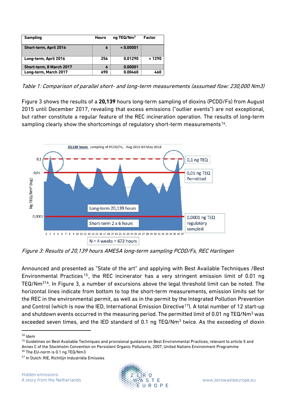| <b>Sampling</b>          | <b>Hours</b> | ng TEQ/Nm <sup>3</sup> | Factor |
|--------------------------|--------------|------------------------|--------|
| Short-term, April 2016   | O            | < 0.00001              |        |
| Long-term, April 2016    | 256          | 0.01290                | >1290  |
| Short-term, 8 March 2017 | 6            | 0.00001                |        |
| Long-term, March 2017    | 690          | 0.00460                | 460    |

Table 1: Comparison of parallel short- and long-term measurements (assumed flow: 230,000 Nm3)

Figure 3 shows the results of a **20,139** hours long-term sampling of dioxins (PCDD/Fs) from August 2015 until December 2017, revealing that excess emissions ("outlier events") are not exceptional, but rather constitute a regular feature of the REC incineration operation. The results of long-term sampling clearly show the shortcomings of regulatory short-term measurements<sup>14</sup>.



Figure 3: Results of 20,139 hours AMESA long-term sampling PCDD/Fs, REC Harlingen

Announced and presented as "State of the art" and applying with Best Available Techniques /Best Environmental Practices [15](#page-3-2) , the REC incinerator has a very stringent emission limit of 0.01 ng TEQ/Nm3[16.](#page-3-3) In Figure 3, a number of excursions above the legal threshold limit can be noted. The horizontal lines indicate from bottom to top the short-term measurements, emission limits set for the REC in the environmental permit, as well as in the permit by the Integrated Pollution Prevention and Control (which is now the IED, International Emission Directive<sup>[17](#page-4-0)</sup>). A total number of 12 start-up and shutdown events occurred in the measuring period. The permitted limit of 0.01 ng TEQ/Nm<sup>3</sup> was exceeded seven times, and the IED standard of 0.1 ng TEQ/Nm<sup>3</sup> twice. As the exceeding of dioxin



<span id="page-3-0"></span> $14$  Idem

<span id="page-3-1"></span><sup>&</sup>lt;sup>15</sup> Guidelines on Best Available Techniques and provisional guidance on Best Environmental Practices, relevant to article 5 and Annex C of the Stockholm Convention on Persistent Organic Pollutants, 2007, United Nations Environment Programme

<span id="page-3-2"></span><sup>16</sup> The EU-norm is 0.1 ng TEQ/Nm3

<span id="page-3-3"></span><sup>&</sup>lt;sup>17</sup> In Dutch: RIE, Richtlijn Industriële Emissies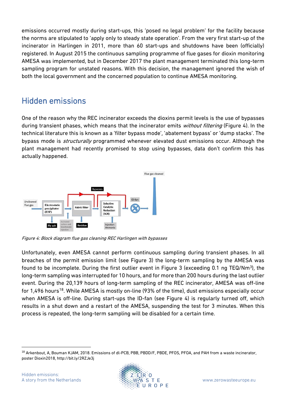emissions occurred mostly during start-ups, this 'posed no legal problem' for the facility because the norms are stipulated to 'apply only to steady state operation'. From the very first start-up of the incinerator in Harlingen in 2011, more than 60 start-ups and shutdowns have been (officially) registered. In August 2015 the continuous sampling programme of flue gases for dioxin monitoring AMESA was implemented, but in December 2017 the plant management terminated this long-term sampling program for unstated reasons. With this decision, the management ignored the wish of both the local government and the concerned population to continue AMESA monitoring.

### Hidden emissions

One of the reason why the REC incinerator exceeds the dioxins permit levels is the use of bypasses during transient phases, which means that the incinerator emits *without filtering* (Figure 4). In the technical literature this is known as a 'filter bypass mode', 'abatement bypass' or 'dump stacks'. The bypass mode is *structurally* programmed whenever elevated dust emissions occur. Although the plant management had recently promised to stop using bypasses, data don't confirm this has actually happened.



Figure 4: Block diagram flue gas cleaning REC Harlingen with bypasses

Unfortunately, even AMESA cannot perform continuous sampling during transient phases. In all breaches of the permit emission limit (see Figure 3) the long-term sampling by the AMESA was found to be incomplete. During the first outlier event in Figure 3 (exceeding 0.1 ng TEQ/Nm3), the long-term sampling was interrupted for 10 hours, and for more than 200 hours during the last outlier event. During the 20,139 hours of long-term sampling of the REC incinerator, AMESA was off-line for 1,496 hours<sup>18</sup>. While AMESA is mostly on-line (93% of the time), dust emissions especially occur when AMESA is off-line. During start-ups the ID-fan (see Figure 4) is regularly turned off, which results in a shut down and a restart of the AMESA, suspending the test for 3 minutes. When this process is repeated, the long-term sampling will be disabled for a certain time.



<span id="page-4-1"></span><span id="page-4-0"></span><sup>18</sup> Arkenbout, A, Bouman KJAM, 2018. Emissions of dl-PCB, PBB, PBDD/F, PBDE, PFOS, PFOA, and PAH from a waste incinerator, poster Dioxin2018, http://bit.ly/2RZJe3j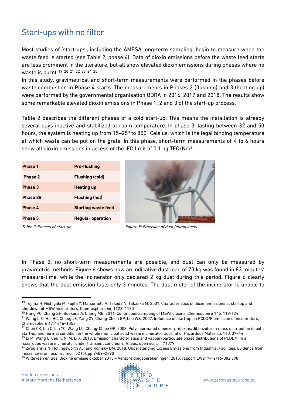#### Start-ups with no filter

Most studies of 'start-ups', including the AMESA long-term sampling, begin to measure when the waste feed is started (see Table 2, phase 4). Data of dioxin emissions before the waste feed starts are less prominent in the literature, but all show elevated dioxin emissions during phases where no waste is burnt [19](#page-5-0) [20](#page-5-1) [21](#page-5-2) [22](#page-5-3) [23](#page-5-4) [24](#page-5-5) [25.](#page-5-6)

In this study, gravimetrical and short-term measurements were performed in the phases before waste combustion in Phase 4 starts. The measurements in Phases 2 (flushing) and 3 (heating up) were performed by the governmental organisation ODRA in 2016, 2017 and 2018. The results show some remarkable elevated dioxin emissions in Phase 1, 2 and 3 of the start-up process.

Table 2 describes the different phases of a cold start-up. This means the installation is already several days inactive and stabilized at room temperature. In phase 3, lasting between 32 and 50 hours, the system is heating up from 15-25<sup>0</sup> to 850<sup>0</sup> Celsius, which is the legal binding temperature at which waste can be put on the grate. In this phase, short-term measurements of 4 to 6 hours show all dioxin emissions in access of the IED limit of 0.1 ng TEQ/Nm3.

| <b>Phase 1</b>  | <b>Pre-flushing</b>        |  |
|-----------------|----------------------------|--|
| Phase 2         | <b>Flushing (cold)</b>     |  |
| Phase 3         | <b>Heating up</b>          |  |
| <b>Phase 3B</b> | <b>Flushing (hot)</b>      |  |
| Phase 4         | <b>Starting waste feed</b> |  |
| <b>Phase 5</b>  | <b>Regular operation</b>   |  |

Table 2: Phases of start-up **Figure 5: Emission of dust (dumpstack)** 

In Phase 2, no short-term measurements are possible, and dust can only be measured by gravimetric methods. Figure 6 shows how an indicative dust load of 73 kg was found in 83 minutes' measure-time, while the incinerator only declared 2 kg dust during this period. Figure 6 clearly shows that the dust emission lasts only 3 minutes. The dust meter of the incinerator is unable to

<span id="page-5-1"></span><sup>20</sup> Hung PC, Chang SH, Buekens A, Chang MB, 2016. Continuous sampling of MSWI dioxins, Chemosphere 145, 119-124

<span id="page-5-4"></span>hazardous waste incinerator under transient conditions, R. Soc. open sci. 5: 171079



<span id="page-5-0"></span> <sup>19</sup> Tejima H, Nishigaki M, Fujita Y, Matsumoto A, Takeda N, Takaoka M, 2007. Characteristics of dioxin emissions at startup and shutdown of MSW incinerators, Chemosphere 66, 1123–1130

<span id="page-5-2"></span><sup>&</sup>lt;sup>21</sup> Wang L-C, His HC, Chang JE, Yang XY, Chang-Chien GP, Lee WS, 2007. Influence of start-up on PCDD/F emission of incinerators, Chemosphere 67, 1346–1353

<span id="page-5-3"></span><sup>&</sup>lt;sup>22</sup> Chen CK, Lin C, Lin YC, Wang LC, Chang-Chien GP, 2008. Polychlorinated dibenzo-p-dioxins/dibenzofuran mass distribution in both start-up and normal condition in the whole municipal solid waste incinerator, Journal of Hazardous Materials 160, 37–44 <sup>23</sup> Li M, Wang C, Cen K, Ni M, Li X. 2018, Emission characteristics and vapour/particulate phase distributions of PCDD/F in a

<span id="page-5-5"></span><sup>&</sup>lt;sup>24</sup> Zirogiannis N, Hollingsworth AJ, and Konisky DM, 2018. Understanding Excess Emissions from Industrial Facilities: Evidence from Texas, Environ. Sci. Technol., 52 (5), pp 2482–2490

<span id="page-5-6"></span><sup>25</sup> Witteveen en Bos, Dioxine emissie oktober 2015 – Verspreidingsberekeningen, 2015, rapport LW217-12/16-002.590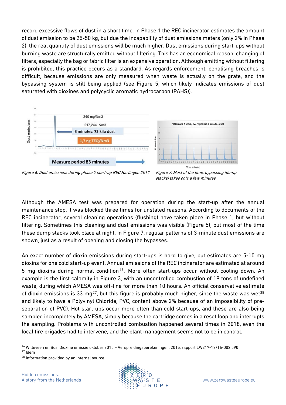record excessive flows of dust in a short time. In Phase 1 the REC incinerator estimates the amount of dust emission to be 25-50 kg, but due the incapability of dust emissions meters (only 2% in Phase 2), the real quantity of dust emissions will be much higher. Dust emissions during start-ups without burning waste are structurally emitted without filtering. This has an economical reason: changing of filters, especially the bag or fabric filter is an expensive operation. Although emitting without filtering is prohibited, this practice occurs as a standard. As regards enforcement, penalising breaches is difficult, because emissions are only measured when waste is actually on the grate, and the bypassing system is still being applied (see Figure 5, which likely indicates emissions of dust saturated with dioxines and polycyclic aromatic hydrocarbon (PAHS)).



Figure 6: Dust emissions during phase 2 start-up REC Harlingen 2017 Figure 7: Most of the time, bypassing (dump

stacks) takes only a few minutes

Although the AMESA test was prepared for operation during the start-up after the annual maintenance stop, it was blocked three times for unstated reasons. According to documents of the REC incinerator, several cleaning operations (flushing) have taken place in Phase 1, but without filtering. Sometimes this cleaning and dust emissions was visible (Figure 5), but most of the time these dump stacks took place at night. In Figure 7, regular patterns of 3-minute dust emissions are shown, just as a result of opening and closing the bypasses.

An exact number of dioxin emissions during start-ups is hard to give, but estimates are 5-10 mg dioxins for one cold start-up event. Annual emissions of the REC incinerator are estimated at around 5 mg dioxins during normal condition<sup>[26](#page-6-0)</sup>. More often start-ups occur without cooling down. An example is the first calamity in Figure 3, with an uncontrolled combustion of 19 tons of undefined waste, during which AMESA was off-line for more than 10 hours. An official conservative estimate of dioxin emissions is 33 mg<sup>[27](#page-6-1)</sup>, but this figure is probably much higher, since the waste was wet<sup>28</sup> and likely to have a Polyvinyl Chloride, PVC, content above 2% because of an impossibility of preseparation of PVC). Hot start-ups occur more often than cold start-ups, and these are also being sampled incompletely by AMESA, simply because the cartridge comes in a reset loop and interrupts the sampling. Problems with uncontrolled combustion happened several times in 2018, even the local fire brigades had to intervene, and the plant management seems not to be in control.



 $\overline{a}$ <sup>26</sup> Witteveen en Bos, Dioxine emissie oktober 2015 – Verspreidingsberekeningen, 2015, rapport LW217-12/16-002.590

<span id="page-6-1"></span><span id="page-6-0"></span><sup>27</sup> Idem

<span id="page-6-2"></span><sup>28</sup> Information provided by an internal source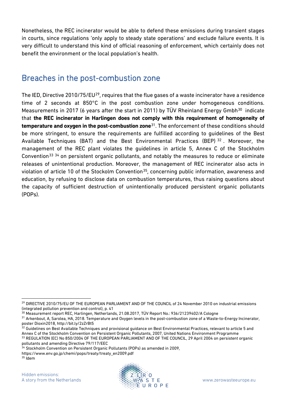Nonetheless, the REC incinerator would be able to defend these emissions during transient stages in courts, since regulations 'only apply to steady state operations' and exclude failure events. It is very difficult to understand this kind of official reasoning of enforcement, which certainly does not benefit the environment or the local population's health.

#### Breaches in the post-combustion zone

The IED, Directive 2010/75/EU<sup>29</sup>, requires that the flue gases of a waste incinerator have a residence time of 2 seconds at 850°C in the post combustion zone under homogeneous conditions. Measurements in 2017 (6 years after the start in 2011) by TÜV Rheinland Energy Gmbh<sup>30</sup> indicate that **the REC incinerator in Harlingen does not comply with this requirement of homogeneity of temperature and oxygen in the post-combustion zone**[31](#page-7-2). The enforcement of these conditions should be more stringent, to ensure the requirements are fulfilled according to guidelines of the Best Available Techniques (BAT) and the Best Environmental Practices (BEP) [32](#page-7-3) . Moreover, the management of the REC plant violates the guidelines in article 5, Annex C of the Stockholm Convention<sup>[33](#page-7-4) [34](#page-7-5)</sup> on persistent organic pollutants, and notably the measures to reduce or eliminate releases of unintentional production. Moreover, the management of REC incinerator also acts in violation of article 10 of the Stockolm Convention<sup>[35](#page-7-6)</sup>, concerning public information, awareness and education, by refusing to disclose data on combustion temperatures, thus raising questions about the capacity of sufficient destruction of unintentionally produced persistent organic pollutants (POPs).

 $\overline{a}$ 

<span id="page-7-6"></span>

<span id="page-7-0"></span><sup>&</sup>lt;sup>29</sup> DIRECTIVE 2010/75/EU OF THE EUROPEAN PARLIAMENT AND OF THE COUNCIL of 24 November 2010 on industrial emissions (integrated pollution prevention and control), p. 41

<span id="page-7-1"></span><sup>30</sup> Measurement report REC, Harlingen, Netherlands, 21.08.2017, TÜV Report No.: 936/21239402/A Cologne

<span id="page-7-2"></span><sup>31</sup> Arkenbout, A, Sarolea, HA, 2018. Temperature and Oxygen levels in the post-combustion zone of a Waste-to-Energy Incinerator, poster Dioxin2018, http://bit.ly/2zZrBt5

<span id="page-7-3"></span><sup>32</sup> Guidelines on Best Available Techniques and provisional guidance on Best Environmental Practices, relevant to article 5 and Annex C of the Stockholm Convention on Persistent Organic Pollutants, 2007, United Nations Environment Programme 33 REGULATION (EC) No 850/2004 OF THE EUROPEAN PARLIAMENT AND OF THE COUNCIL, 29 April 2004 on persistent organic pollutants and amending Directive 79/117/EEC

<span id="page-7-5"></span><span id="page-7-4"></span><sup>&</sup>lt;sup>34</sup> Stockholm Convention on Persistent Organic Pollutants (POPs) as amended in 2009,

https://www.env.go.jp/chemi/pops/treaty/treaty\_en2009.pdf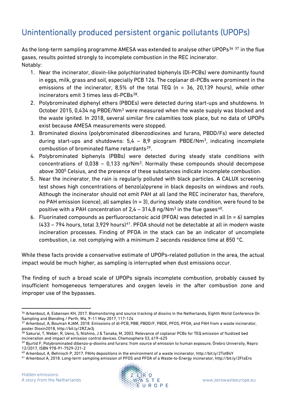## Unintentionally produced persistent organic pollutants (UPOPs)

As the long-term sampling programme AMESA was extended to analyse other UPOPs<sup>[36](#page-8-0)</sup> <sup>[37](#page-8-1)</sup> in the flue gases, results pointed strongly to incomplete combustion in the REC incinerator. Notably:

- 1. Near the incinerator, dioxin-like polychlorinated biphenyls (Dl-PCBs) were dominantly found in eggs, milk, grass and soil, especially PCB 126. The coplanar dl-PCBs were prominent in the emissions of the incinerator, 8,5% of the total TEQ (n = 36, 20,139 hours), while other incinerators emit 3 times less dl-PCBs<sup>38</sup>.
- 2. Polybrominated diphenyl ethers (PBDEs) were detected during start-ups and shutdowns. In October 2015, 0,434 ng PBDE/Nm<sup>3</sup> were measured when the waste supply was blocked and the waste ignited. In 2018, several similar fire calamities took place, but no data of UPOPs exist because AMESA measurements were stopped.
- 3. Brominated dioxins (polybrominated dibenzodioxines and furans, PBDD/Fs) were detected during start-ups and shutdowns:  $5,4 - 8,9$  picogram PBDE/Nm<sup>3</sup>, indicating incomplete combustion of brominated flame retardants<sup>39</sup>.
- 4. Polybrominated biphenyls (PBBs) were detected during steady state conditions with concentrations of  $0.038 - 0.133$  ng/Nm<sup>3</sup>. Normally these compounds should decompose above 300<sup>0</sup> Celsius, and the presence of these substances indicate incomplete combustion.
- 5. Near the incinerator, the rain is regularly polluted with black particles. A CALUX screening test shows high concentrations of benzo(a)pyrene in black deposits on windows and roofs. Although the incinerator should not emit PAH at all (and the REC incinerator has, therefore, no PAH emission licence), all samples (n = 3), during steady state condition, were found to be positive with a PAH concentration of  $2.4 - 314.8$  ng/Nm<sup>3</sup> in the flue gases<sup>[40](#page-8-4)</sup>.
- 6. Fluorinated compounds as perfluorooctanoic acid (PFOA) was detected in all (n = 6) samples  $(433 - 794$  hours, total 3,929 hours)<sup>41</sup>. PFOA should not be detectable at all in modern waste incineration processes. Finding of PFOA in the stack can be an indicator of uncomplete combustion, i.e. not complying with a minimum 2 seconds residence time at 850 °C.

While these facts provide a conservative estimate of UPOPs-related pollution in the area, the actual impact would be much higher, as sampling is interrupted when dust emissions occur.

The finding of such a broad scale of UPOPs signals incomplete combustion, probably caused by insufficient homogeneous temperatures and oxygen levels in the after combustion zone and improper use of the bypasses.

 $\overline{a}$ 



<span id="page-8-0"></span><sup>36</sup> Arkenbout, A, Esbensen KH, 2017. Biomonitoring and source tracking of dioxins in the Netherlands, Eighth World Conference On Sampling and Blending / Perth, Wa, 9–11 May 2017, 117-124

<span id="page-8-1"></span><sup>37</sup> Arkenbout, A, Bouman KJAM, 2018. Emissions of dl-PCB, PBB, PBDD/F, PBDE, PFOS, PFOA, and PAH from a waste incinerator, poster Dioxin2018, http://bit.ly/2RZJe3j

<span id="page-8-2"></span><sup>38</sup> Sakurai, T, Weber, R, Ueno, S, Nishino, J & Tanaka, M, 2003. Relevance of coplanar PCBs for TEQ emission of fluidized bed incineration and impact of emission control devices. Chemosphere 53, 619–625

<span id="page-8-3"></span><sup>39</sup> Bjurlid F, Polybrominated dibenzo-p-dioxins and furans: from source of emission to human exposure, Örebro University, Repro 12/2017, ISBN 978-91-7529-221-2

<span id="page-8-4"></span><sup>40</sup> Arkenbout, A, Behnisch P, 2017. PAHs depositions in the environment of a waste incinerator, http://bit.ly/2Tot84Y

<span id="page-8-5"></span><sup>41</sup> Arkenbout A, 2018. Long-term sampling emission of PFOS and PFOA of a Waste-to-Energy incinerator, http://bit.ly/2FtsEro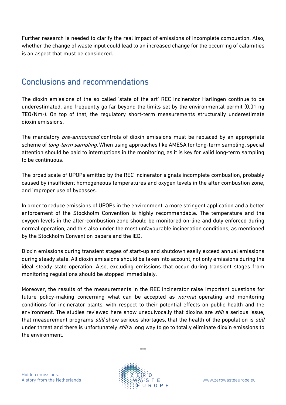Further research is needed to clarify the real impact of emissions of incomplete combustion. Also, whether the change of waste input could lead to an increased change for the occurring of calamities is an aspect that must be considered.

#### Conclusions and recommendations

The dioxin emissions of the so called 'state of the art' REC incinerator Harlingen continue to be underestimated, and frequently go far beyond the limits set by the environmental permit (0,01 ng TEQ/Nm3). On top of that, the regulatory short-term measurements structurally underestimate dioxin emissions.

The mandatory *pre-announced* controls of dioxin emissions must be replaced by an appropriate scheme of *long-term sampling*. When using approaches like AMESA for long-term sampling, special attention should be paid to interruptions in the monitoring, as it is key for valid long-term sampling to be continuous.

The broad scale of UPOPs emitted by the REC incinerator signals incomplete combustion, probably caused by insufficient homogeneous temperatures and oxygen levels in the after combustion zone, and improper use of bypasses.

In order to reduce emissions of UPOPs in the environment, a more stringent application and a better enforcement of the Stockholm Convention is highly recommendable. The temperature and the oxygen levels in the after-combustion zone should be monitored on-line and duly enforced during normal operation, and this also under the most unfavourable incineration conditions, as mentioned by the Stockholm Convention papers and the IED.

Dioxin emissions during transient stages of start-up and shutdown easily exceed annual emissions during steady state. All dioxin emissions should be taken into account, not only emissions during the ideal steady state operation. Also, excluding emissions that occur during transient stages from monitoring regulations should be stopped immediately.

Moreover, the results of the measurements in the REC incinerator raise important questions for future policy-making concerning what can be accepted as *normal* operating and monitoring conditions for incinerator plants, with respect to their potential effects on public health and the environment. The studies reviewed here show unequivocally that dioxins are *still* a serious issue, that measurement programs *still* show serious shortages, that the health of the population is *still* under threat and there is unfortunately *still* a long way to go to totally eliminate dioxin emissions to the environment.

\*\*\*